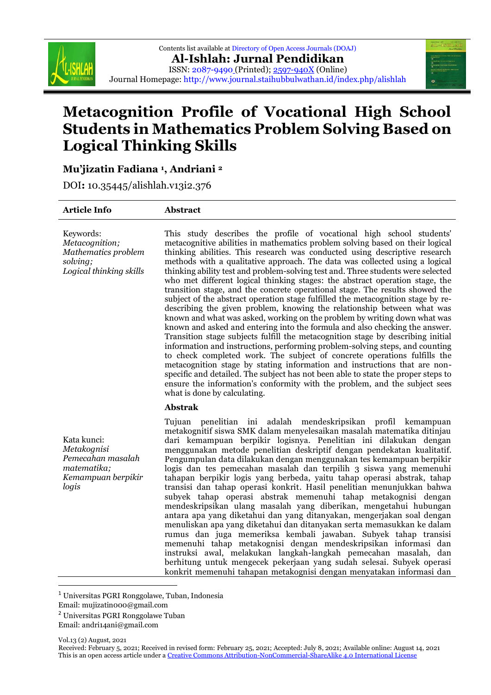



# **Metacognition Profile of Vocational High School Students in Mathematics Problem Solving Based on Logical Thinking Skills**

# **Mu'jizatin Fadiana <sup>1</sup> , Andriani <sup>2</sup>**

DOI**:** 10.35445/alishlah.v13i2.376

#### **Article Info Abstract**

Keywords: *Metacognition; Mathematics problem solving; Logical thinking skills*

This study describes the profile of vocational high school students' metacognitive abilities in mathematics problem solving based on their logical thinking abilities. This research was conducted using descriptive research methods with a qualitative approach. The data was collected using a logical thinking ability test and problem-solving test and. Three students were selected who met different logical thinking stages: the abstract operation stage, the transition stage, and the concrete operational stage. The results showed the subject of the abstract operation stage fulfilled the metacognition stage by redescribing the given problem, knowing the relationship between what was known and what was asked, working on the problem by writing down what was known and asked and entering into the formula and also checking the answer. Transition stage subjects fulfill the metacognition stage by describing initial information and instructions, performing problem-solving steps, and counting to check completed work. The subject of concrete operations fulfills the metacognition stage by stating information and instructions that are nonspecific and detailed. The subject has not been able to state the proper steps to ensure the information's conformity with the problem, and the subject sees what is done by calculating.

#### **Abstrak**

Kata kunci: *Metakognisi Pemecahan masalah matematika; Kemampuan berpikir logis*

Tujuan penelitian ini adalah mendeskripsikan profil kemampuan metakognitif siswa SMK dalam menyelesaikan masalah matematika ditinjau dari kemampuan berpikir logisnya. Penelitian ini dilakukan dengan menggunakan metode penelitian deskriptif dengan pendekatan kualitatif. Pengumpulan data dilakukan dengan menggunakan tes kemampuan berpikir logis dan tes pemecahan masalah dan terpilih 3 siswa yang memenuhi tahapan berpikir logis yang berbeda, yaitu tahap operasi abstrak, tahap transisi dan tahap operasi konkrit. Hasil penelitian menunjukkan bahwa subyek tahap operasi abstrak memenuhi tahap metakognisi dengan mendeskripsikan ulang masalah yang diberikan, mengetahui hubungan antara apa yang diketahui dan yang ditanyakan, mengerjakan soal dengan menuliskan apa yang diketahui dan ditanyakan serta memasukkan ke dalam rumus dan juga memeriksa kembali jawaban. Subyek tahap transisi memenuhi tahap metakognisi dengan mendeskripsikan informasi dan instruksi awal, melakukan langkah-langkah pemecahan masalah, dan berhitung untuk mengecek pekerjaan yang sudah selesai. Subyek operasi konkrit memenuhi tahapan metakognisi dengan menyatakan informasi dan

<sup>1</sup> Universitas PGRI Ronggolawe, Tuban, Indonesia

Email: mujizatin000@gmail.com

<sup>2</sup> Universitas PGRI Ronggolawe Tuban Email: andri14ani@gmail.com

Vol.13 (2) August, 2021

 $\overline{a}$ 

Received: February 5, 2021; Received in revised form: February 25, 2021; Accepted: July 8, 2021; Available online: August 14, 2021 This is an open access article under a [Creative Commons Attribution-NonCommercial-ShareAlike 4.0 International License](http://creativecommons.org/licenses/by-nc-sa/4.0/)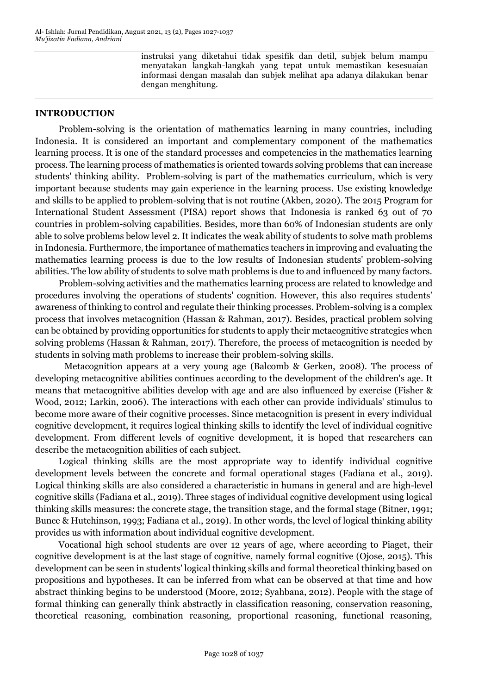instruksi yang diketahui tidak spesifik dan detil, subjek belum mampu menyatakan langkah-langkah yang tepat untuk memastikan kesesuaian informasi dengan masalah dan subjek melihat apa adanya dilakukan benar dengan menghitung.

## **INTRODUCTION**

Problem-solving is the orientation of mathematics learning in many countries, including Indonesia. It is considered an important and complementary component of the mathematics learning process. It is one of the standard processes and competencies in the mathematics learning process. The learning process of mathematics is oriented towards solving problems that can increase students' thinking ability. Problem-solving is part of the mathematics curriculum, which is very important because students may gain experience in the learning process. Use existing knowledge and skills to be applied to problem-solving that is not routine (Akben, 2020). The 2015 Program for International Student Assessment (PISA) report shows that Indonesia is ranked 63 out of 70 countries in problem-solving capabilities. Besides, more than 60% of Indonesian students are only able to solve problems below level 2. It indicates the weak ability of students to solve math problems in Indonesia. Furthermore, the importance of mathematics teachers in improving and evaluating the mathematics learning process is due to the low results of Indonesian students' problem-solving abilities. The low ability of students to solve math problems is due to and influenced by many factors.

Problem-solving activities and the mathematics learning process are related to knowledge and procedures involving the operations of students' cognition. However, this also requires students' awareness of thinking to control and regulate their thinking processes. Problem-solving is a complex process that involves metacognition (Hassan & Rahman, 2017). Besides, practical problem solving can be obtained by providing opportunities for students to apply their metacognitive strategies when solving problems (Hassan & Rahman, 2017). Therefore, the process of metacognition is needed by students in solving math problems to increase their problem-solving skills.

Metacognition appears at a very young age (Balcomb & Gerken, 2008). The process of developing metacognitive abilities continues according to the development of the children's age. It means that metacognitive abilities develop with age and are also influenced by exercise (Fisher & Wood, 2012; Larkin, 2006). The interactions with each other can provide individuals' stimulus to become more aware of their cognitive processes. Since metacognition is present in every individual cognitive development, it requires logical thinking skills to identify the level of individual cognitive development. From different levels of cognitive development, it is hoped that researchers can describe the metacognition abilities of each subject.

Logical thinking skills are the most appropriate way to identify individual cognitive development levels between the concrete and formal operational stages (Fadiana et al., 2019). Logical thinking skills are also considered a characteristic in humans in general and are high-level cognitive skills (Fadiana et al., 2019). Three stages of individual cognitive development using logical thinking skills measures: the concrete stage, the transition stage, and the formal stage (Bitner, 1991; Bunce & Hutchinson, 1993; Fadiana et al., 2019). In other words, the level of logical thinking ability provides us with information about individual cognitive development.

Vocational high school students are over 12 years of age, where according to Piaget, their cognitive development is at the last stage of cognitive, namely formal cognitive (Ojose, 2015). This development can be seen in students' logical thinking skills and formal theoretical thinking based on propositions and hypotheses. It can be inferred from what can be observed at that time and how abstract thinking begins to be understood (Moore, 2012; Syahbana, 2012). People with the stage of formal thinking can generally think abstractly in classification reasoning, conservation reasoning, theoretical reasoning, combination reasoning, proportional reasoning, functional reasoning,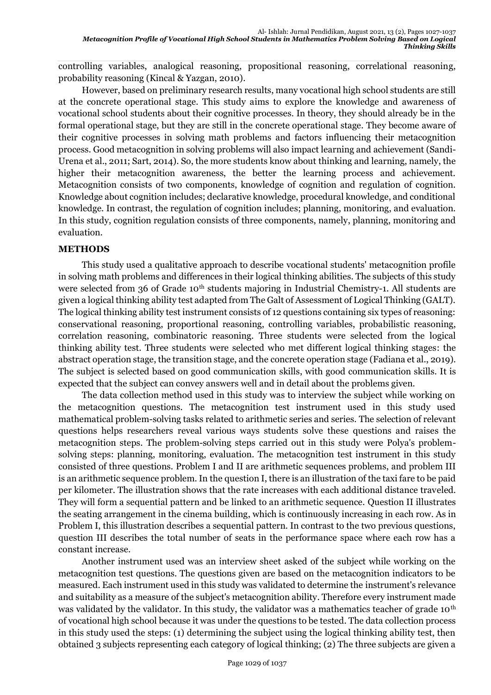controlling variables, analogical reasoning, propositional reasoning, correlational reasoning, probability reasoning (Kincal & Yazgan, 2010).

However, based on preliminary research results, many vocational high school students are still at the concrete operational stage. This study aims to explore the knowledge and awareness of vocational school students about their cognitive processes. In theory, they should already be in the formal operational stage, but they are still in the concrete operational stage. They become aware of their cognitive processes in solving math problems and factors influencing their metacognition process. Good metacognition in solving problems will also impact learning and achievement (Sandi-Urena et al., 2011; Sart, 2014). So, the more students know about thinking and learning, namely, the higher their metacognition awareness, the better the learning process and achievement. Metacognition consists of two components, knowledge of cognition and regulation of cognition. Knowledge about cognition includes; declarative knowledge, procedural knowledge, and conditional knowledge. In contrast, the regulation of cognition includes; planning, monitoring, and evaluation. In this study, cognition regulation consists of three components, namely, planning, monitoring and evaluation.

#### **METHODS**

This study used a qualitative approach to describe vocational students' metacognition profile in solving math problems and differences in their logical thinking abilities. The subjects of this study were selected from 36 of Grade 10<sup>th</sup> students majoring in Industrial Chemistry-1. All students are given a logical thinking ability test adapted from The Galt of Assessment of Logical Thinking (GALT). The logical thinking ability test instrument consists of 12 questions containing six types of reasoning: conservational reasoning, proportional reasoning, controlling variables, probabilistic reasoning, correlation reasoning, combinatoric reasoning. Three students were selected from the logical thinking ability test. Three students were selected who met different logical thinking stages: the abstract operation stage, the transition stage, and the concrete operation stage (Fadiana et al., 2019). The subject is selected based on good communication skills, with good communication skills. It is expected that the subject can convey answers well and in detail about the problems given.

The data collection method used in this study was to interview the subject while working on the metacognition questions. The metacognition test instrument used in this study used mathematical problem-solving tasks related to arithmetic series and series. The selection of relevant questions helps researchers reveal various ways students solve these questions and raises the metacognition steps. The problem-solving steps carried out in this study were Polya's problemsolving steps: planning, monitoring, evaluation. The metacognition test instrument in this study consisted of three questions. Problem I and II are arithmetic sequences problems, and problem III is an arithmetic sequence problem. In the question I, there is an illustration of the taxi fare to be paid per kilometer. The illustration shows that the rate increases with each additional distance traveled. They will form a sequential pattern and be linked to an arithmetic sequence. Question II illustrates the seating arrangement in the cinema building, which is continuously increasing in each row. As in Problem I, this illustration describes a sequential pattern. In contrast to the two previous questions, question III describes the total number of seats in the performance space where each row has a constant increase.

Another instrument used was an interview sheet asked of the subject while working on the metacognition test questions. The questions given are based on the metacognition indicators to be measured. Each instrument used in this study was validated to determine the instrument's relevance and suitability as a measure of the subject's metacognition ability. Therefore every instrument made was validated by the validator. In this study, the validator was a mathematics teacher of grade 10<sup>th</sup> of vocational high school because it was under the questions to be tested. The data collection process in this study used the steps: (1) determining the subject using the logical thinking ability test, then obtained 3 subjects representing each category of logical thinking; (2) The three subjects are given a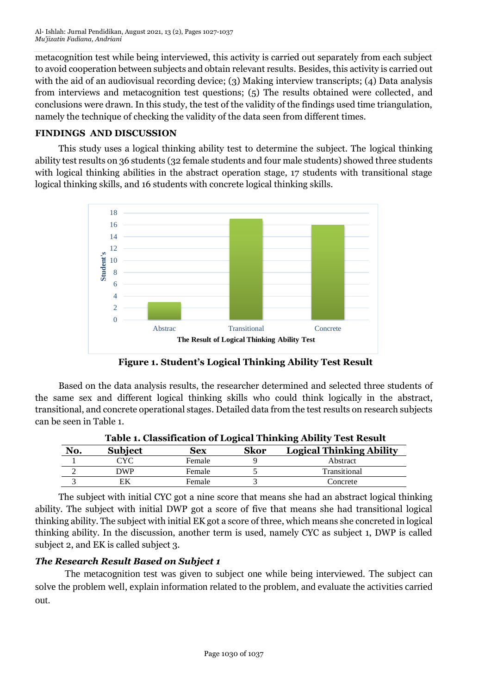metacognition test while being interviewed, this activity is carried out separately from each subject to avoid cooperation between subjects and obtain relevant results. Besides, this activity is carried out with the aid of an audiovisual recording device; (3) Making interview transcripts; (4) Data analysis from interviews and metacognition test questions; (5) The results obtained were collected, and conclusions were drawn. In this study, the test of the validity of the findings used time triangulation, namely the technique of checking the validity of the data seen from different times.

# **FINDINGS AND DISCUSSION**

This study uses a logical thinking ability test to determine the subject. The logical thinking ability test results on 36 students (32 female students and four male students) showed three students with logical thinking abilities in the abstract operation stage, 17 students with transitional stage logical thinking skills, and 16 students with concrete logical thinking skills.



**Figure 1. Student's Logical Thinking Ability Test Result**

Based on the data analysis results, the researcher determined and selected three students of the same sex and different logical thinking skills who could think logically in the abstract, transitional, and concrete operational stages. Detailed data from the test results on research subjects can be seen in Table 1.

| No. | <b>Subject</b> | Sex    | <b>Skor</b> | <b>Logical Thinking Ability</b> |
|-----|----------------|--------|-------------|---------------------------------|
|     | CYC.           | Female |             | Abstract                        |
|     | DWP            | Female |             | Transitional                    |
|     |                | Female |             | Concrete                        |

**Table 1. Classification of Logical Thinking Ability Test Result**

The subject with initial CYC got a nine score that means she had an abstract logical thinking ability. The subject with initial DWP got a score of five that means she had transitional logical thinking ability. The subject with initial EK got a score of three, which means she concreted in logical thinking ability. In the discussion, another term is used, namely CYC as subject 1, DWP is called subject 2, and EK is called subject 3.

# *The Research Result Based on Subject 1*

The metacognition test was given to subject one while being interviewed. The subject can solve the problem well, explain information related to the problem, and evaluate the activities carried out.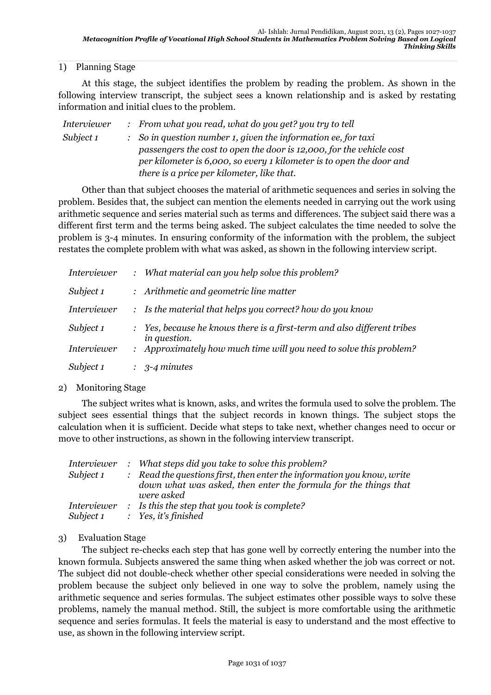# 1) Planning Stage

At this stage, the subject identifies the problem by reading the problem. As shown in the following interview transcript, the subject sees a known relationship and is asked by restating information and initial clues to the problem.

| <i>Interviewer</i> | $:$ From what you read, what do you get? you try to tell                 |
|--------------------|--------------------------------------------------------------------------|
| Subject 1          | $\therefore$ So in question number 1, given the information ee, for taxi |
|                    | passengers the cost to open the door is 12,000, for the vehicle cost     |
|                    | per kilometer is 6,000, so every 1 kilometer is to open the door and     |
|                    | there is a price per kilometer, like that.                               |

Other than that subject chooses the material of arithmetic sequences and series in solving the problem. Besides that, the subject can mention the elements needed in carrying out the work using arithmetic sequence and series material such as terms and differences. The subject said there was a different first term and the terms being asked. The subject calculates the time needed to solve the problem is 3-4 minutes. In ensuring conformity of the information with the problem, the subject restates the complete problem with what was asked, as shown in the following interview script.

| <i>Interviewer</i> | : What material can you help solve this problem?                                      |
|--------------------|---------------------------------------------------------------------------------------|
| Subject 1          | : Arithmetic and geometric line matter                                                |
| Interviewer        | $\therefore$ Is the material that helps you correct? how do you know                  |
| Subject 1          | Yes, because he knows there is a first-term and also different tribes<br>in question. |
| Interviewer        | : Approximately how much time will you need to solve this problem?                    |
| Subject 1          | $\therefore$ 3-4 minutes                                                              |

#### 2) Monitoring Stage

The subject writes what is known, asks, and writes the formula used to solve the problem. The subject sees essential things that the subject records in known things. The subject stops the calculation when it is sufficient. Decide what steps to take next, whether changes need to occur or move to other instructions, as shown in the following interview transcript.

| <i>Interviewer</i> | : What steps did you take to solve this problem?                                  |
|--------------------|-----------------------------------------------------------------------------------|
| Subject 1          | $\therefore$ Read the questions first, then enter the information you know, write |
|                    | down what was asked, then enter the formula for the things that<br>were asked     |
| <i>Interviewer</i> | $\therefore$ Is this the step that you took is complete?                          |
| Subject 1          | : Yes, it's finished                                                              |

# 3) Evaluation Stage

The subject re-checks each step that has gone well by correctly entering the number into the known formula. Subjects answered the same thing when asked whether the job was correct or not. The subject did not double-check whether other special considerations were needed in solving the problem because the subject only believed in one way to solve the problem, namely using the arithmetic sequence and series formulas. The subject estimates other possible ways to solve these problems, namely the manual method. Still, the subject is more comfortable using the arithmetic sequence and series formulas. It feels the material is easy to understand and the most effective to use, as shown in the following interview script.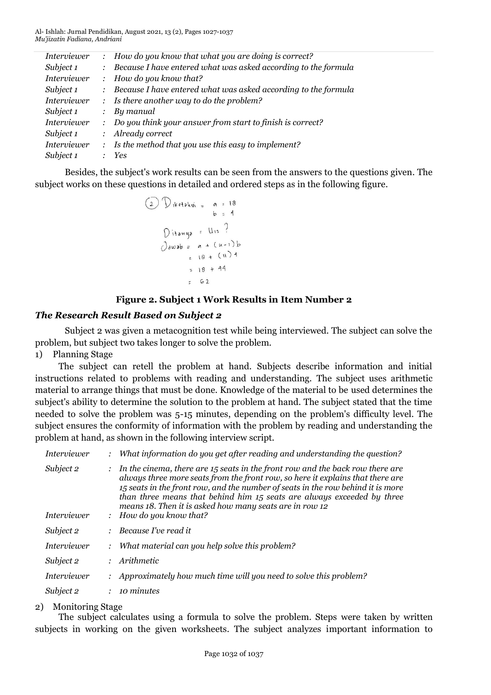Al- Ishlah: Jurnal Pendidikan, August 2021, 13 (2), Pages 1027-1037 *Mu'jizatin Fadiana, Andriani*

| <i>Interviewer</i> | $:$ How do you know that what you are doing is correct?         |
|--------------------|-----------------------------------------------------------------|
| Subject 1          | Because I have entered what was asked according to the formula  |
| <b>Interviewer</b> | $:$ How do you know that?                                       |
| Subject 1          | Because I have entered what was asked according to the formula  |
| <b>Interviewer</b> | $\therefore$ Is there another way to do the problem?            |
| Subject 1          | By manual                                                       |
| <b>Interviewer</b> | Do you think your answer from start to finish is correct?       |
| Subject 1          | : Already correct                                               |
| <b>Interviewer</b> | $\therefore$ Is the method that you use this easy to implement? |
| Subject 1          | <i>Yes</i>                                                      |

Besides, the subject's work results can be seen from the answers to the questions given. The subject works on these questions in detailed and ordered steps as in the following figure.

$$
(2) \text{ D, kethu} = a = 18
$$
\n
$$
b = 4
$$
\n
$$
\text{D, it is } a = 4
$$
\n
$$
0 \text{ and } b = 4
$$
\n
$$
0 \text{ and } b = 4
$$
\n
$$
b = 10 + (11)^{2} + (11)^{2} + (11)^{2} + (11)^{2} + (11)^{2} + (11)^{2} + (11)^{2} + (11)^{2} + (11)^{2} + (11)^{2} + (11)^{2} + (11)^{2} + (11)^{2} + (11)^{2} + (11)^{2} + (11)^{2} + (11)^{2} + (11)^{2} + (11)^{2} + (11)^{2} + (11)^{2} + (11)^{2} + (11)^{2} + (11)^{2} + (11)^{2} + (11)^{2} + (11)^{2} + (11)^{2} + (11)^{2} + (11)^{2} + (11)^{2} + (11)^{2} + (11)^{2} + (11)^{2} + (11)^{2} + (11)^{2} + (11)^{2} + (11)^{2} + (11)^{2} + (11)^{2} + (11)^{2} + (11)^{2} + (11)^{2} + (11)^{2} + (11)^{2} + (11)^{2} + (11)^{2} + (11)^{2} + (11)^{2} + (11)^{2} + (11)^{2} + (11)^{2} + (11)^{2} + (11)^{2} + (11)^{2} + (11)^{2} + (11)^{2} + (11)^{2} + (11)^{2} + (11)^{2} + (11)^{2} + (11)^{2} + (11)^{2} + (11)^{2} + (11)^{2} + (11)^{2} + (11)^{2} + (11)^{2} + (11)^{2} + (11)^{2} + (11)^{2} + (11)^{2} + (11)^{2} + (11)^{2} + (11)^{2} + (11)^{2} + (11)^{2} + (11)^{2} + (11)^{2} + (11)^{2} + (11)^{2} + (11
$$

#### **Figure 2. Subject 1 Work Results in Item Number 2**

#### *The Research Result Based on Subject 2*

Subject 2 was given a metacognition test while being interviewed. The subject can solve the problem, but subject two takes longer to solve the problem.

1) Planning Stage

The subject can retell the problem at hand. Subjects describe information and initial instructions related to problems with reading and understanding. The subject uses arithmetic material to arrange things that must be done. Knowledge of the material to be used determines the subject's ability to determine the solution to the problem at hand. The subject stated that the time needed to solve the problem was 5-15 minutes, depending on the problem's difficulty level. The subject ensures the conformity of information with the problem by reading and understanding the problem at hand, as shown in the following interview script.

| Interviewer        | What information do you get after reading and understanding the question?                                                                                                                                                                                                                                                                                                                            |
|--------------------|------------------------------------------------------------------------------------------------------------------------------------------------------------------------------------------------------------------------------------------------------------------------------------------------------------------------------------------------------------------------------------------------------|
| Subject 2          | $\therefore$ In the cinema, there are 15 seats in the front row and the back row there are<br>always three more seats from the front row, so here it explains that there are<br>15 seats in the front row, and the number of seats in the row behind it is more<br>than three means that behind him 15 seats are always exceeded by three<br>means 18. Then it is asked how many seats are in row 12 |
| <i>Interviewer</i> | $:$ How do you know that?                                                                                                                                                                                                                                                                                                                                                                            |
| Subject 2          | Because I've read it                                                                                                                                                                                                                                                                                                                                                                                 |
| Interviewer        | What material can you help solve this problem?                                                                                                                                                                                                                                                                                                                                                       |
| Subject 2          | : Arithmetic                                                                                                                                                                                                                                                                                                                                                                                         |
| <i>Interviewer</i> | : Approximately how much time will you need to solve this problem?                                                                                                                                                                                                                                                                                                                                   |
| Subject 2          | 10 minutes                                                                                                                                                                                                                                                                                                                                                                                           |

#### 2) Monitoring Stage

The subject calculates using a formula to solve the problem. Steps were taken by written subjects in working on the given worksheets. The subject analyzes important information to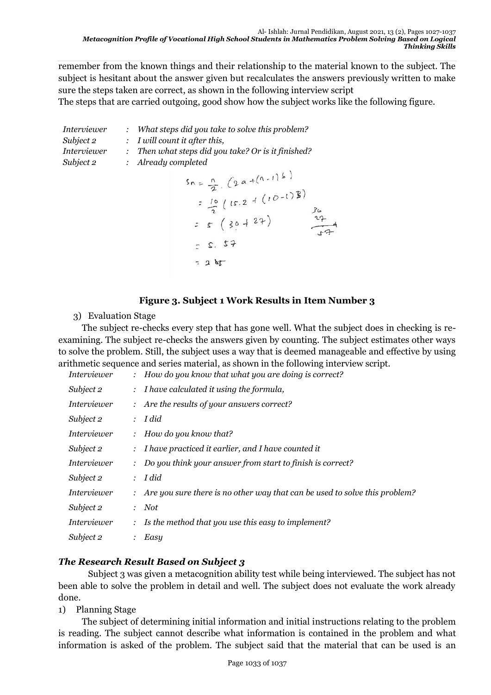remember from the known things and their relationship to the material known to the subject. The subject is hesitant about the answer given but recalculates the answers previously written to make sure the steps taken are correct, as shown in the following interview script

The steps that are carried outgoing, good show how the subject works like the following figure.

| Interviewer<br>Subject 2<br>Interviewer | : What steps did you take to solve this problem?<br>$:$ I will count it after this,<br>: Then what steps did you take? Or is it finished? |  |
|-----------------------------------------|-------------------------------------------------------------------------------------------------------------------------------------------|--|
| Subject 2                               | : Already completed<br>$sn = \frac{n}{2} (2a + (n-1)b)$<br>$= 1011024 (10-1)$ }                                                           |  |

$$
= \frac{10}{2} (15.2 + (10-1))
$$
  

$$
= 5 (30 + 27)
$$
  

$$
= 5.57
$$
  

$$
= 255
$$

#### **Figure 3. Subject 1 Work Results in Item Number 3**

3) Evaluation Stage

The subject re-checks every step that has gone well. What the subject does in checking is reexamining. The subject re-checks the answers given by counting. The subject estimates other ways to solve the problem. Still, the subject uses a way that is deemed manageable and effective by using arithmetic sequence and series material, as shown in the following interview script.

| Interviewer |                | $:$ How do you know that what you are doing is correct?                    |
|-------------|----------------|----------------------------------------------------------------------------|
| Subject 2   |                | $: I have calculated it using the formula,$                                |
| Interviewer | $\ddot{\cdot}$ | Are the results of your answers correct?                                   |
| Subject 2   |                | I did                                                                      |
| Interviewer |                | $:$ How do you know that?                                                  |
| Subject 2   |                | : I have practiced it earlier, and I have counted it                       |
| Interviewer |                | Do you think your answer from start to finish is correct?                  |
| Subject 2   |                | : I did                                                                    |
| Interviewer |                | Are you sure there is no other way that can be used to solve this problem? |
| Subject 2   |                | $:$ Not                                                                    |
| Interviewer | $\ddot{\cdot}$ | Is the method that you use this easy to implement?                         |
| Subject 2   |                | Easy                                                                       |

# *The Research Result Based on Subject 3*

Subject 3 was given a metacognition ability test while being interviewed. The subject has not been able to solve the problem in detail and well. The subject does not evaluate the work already done.

1) Planning Stage

The subject of determining initial information and initial instructions relating to the problem is reading. The subject cannot describe what information is contained in the problem and what information is asked of the problem. The subject said that the material that can be used is an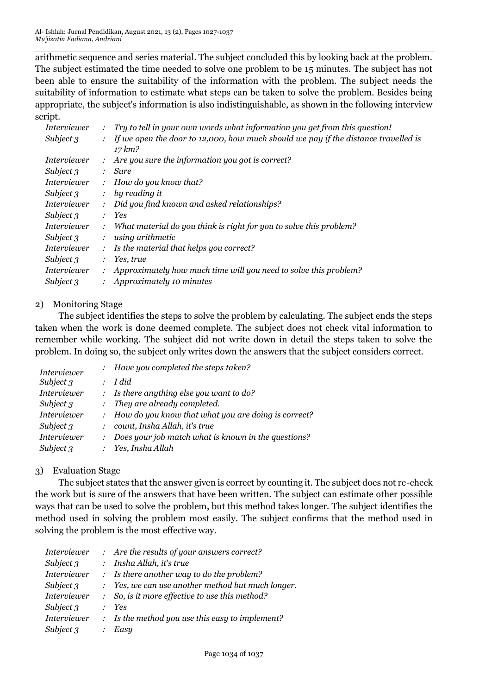arithmetic sequence and series material. The subject concluded this by looking back at the problem. The subject estimated the time needed to solve one problem to be 15 minutes. The subject has not been able to ensure the suitability of the information with the problem. The subject needs the suitability of information to estimate what steps can be taken to solve the problem. Besides being appropriate, the subject's information is also indistinguishable, as shown in the following interview script.

| $\therefore$   | Try to tell in your own words what information you get from this question!                   |
|----------------|----------------------------------------------------------------------------------------------|
| $\ddot{\cdot}$ | If we open the door to 12,000, how much should we pay if the distance travelled is<br>17 km? |
|                | Are you sure the information you got is correct?                                             |
|                | <b>Sure</b>                                                                                  |
| $\mathcal{L}$  | How do you know that?                                                                        |
| $\ddot{\cdot}$ | by reading it                                                                                |
| $\therefore$   | Did you find known and asked relationships?                                                  |
| $\ddot{\cdot}$ | Yes                                                                                          |
|                | What material do you think is right for you to solve this problem?                           |
|                | using arithmetic                                                                             |
| $\ddot{\cdot}$ | Is the material that helps you correct?                                                      |
| ÷              | Yes, true                                                                                    |
|                | Approximately how much time will you need to solve this problem?                             |
|                | Approximately 10 minutes                                                                     |
|                |                                                                                              |

# 2) Monitoring Stage

The subject identifies the steps to solve the problem by calculating. The subject ends the steps taken when the work is done deemed complete. The subject does not check vital information to remember while working. The subject did not write down in detail the steps taken to solve the problem. In doing so, the subject only writes down the answers that the subject considers correct.

| Interviewer        | $:$ Have you completed the steps taken?                 |
|--------------------|---------------------------------------------------------|
| Subject 3          | I did                                                   |
| <b>Interviewer</b> | $:$ Is there anything else you want to do?              |
| Subject 3          | They are already completed.                             |
| Interviewer        | $:$ How do you know that what you are doing is correct? |
| Subject 3          | count, Insha Allah, it's true                           |
| <b>Interviewer</b> | Does your job match what is known in the questions?     |
| Subject 3          | Yes, Insha Allah                                        |

# 3) Evaluation Stage

The subject states that the answer given is correct by counting it. The subject does not re-check the work but is sure of the answers that have been written. The subject can estimate other possible ways that can be used to solve the problem, but this method takes longer. The subject identifies the method used in solving the problem most easily. The subject confirms that the method used in solving the problem is the most effective way.

| Interviewer |               | : Are the results of your answers correct?                 |
|-------------|---------------|------------------------------------------------------------|
| Subject 3   |               | : Insha Allah, it's true                                   |
| Interviewer |               | $\therefore$ Is there another way to do the problem?       |
| Subject 3   | $\mathcal{L}$ | Yes, we can use another method but much longer.            |
| Interviewer |               | So, is it more effective to use this method?               |
| Subject 3   |               | <b>Yes</b>                                                 |
| Interviewer |               | $\therefore$ Is the method you use this easy to implement? |
| Subject 3   |               | Easu                                                       |
|             |               |                                                            |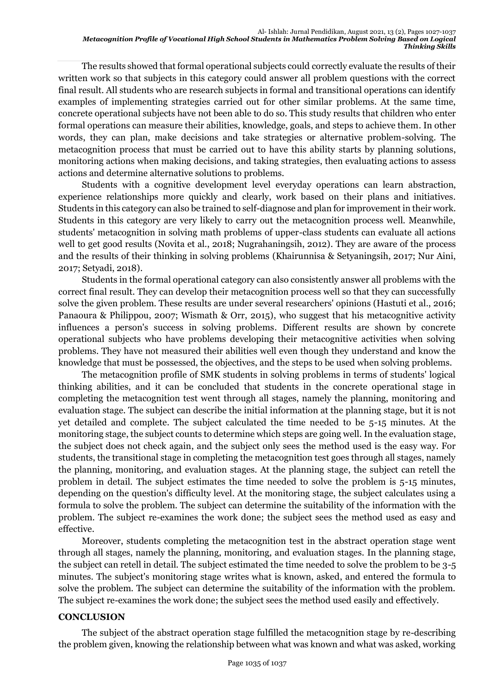The results showed that formal operational subjects could correctly evaluate the results of their written work so that subjects in this category could answer all problem questions with the correct final result. All students who are research subjects in formal and transitional operations can identify examples of implementing strategies carried out for other similar problems. At the same time, concrete operational subjects have not been able to do so. This study results that children who enter formal operations can measure their abilities, knowledge, goals, and steps to achieve them. In other words, they can plan, make decisions and take strategies or alternative problem-solving. The metacognition process that must be carried out to have this ability starts by planning solutions, monitoring actions when making decisions, and taking strategies, then evaluating actions to assess actions and determine alternative solutions to problems.

Students with a cognitive development level everyday operations can learn abstraction, experience relationships more quickly and clearly, work based on their plans and initiatives. Students in this category can also be trained to self-diagnose and plan for improvement in their work. Students in this category are very likely to carry out the metacognition process well. Meanwhile, students' metacognition in solving math problems of upper-class students can evaluate all actions well to get good results (Novita et al., 2018; Nugrahaningsih, 2012). They are aware of the process and the results of their thinking in solving problems (Khairunnisa & Setyaningsih, 2017; Nur Aini, 2017; Setyadi, 2018).

Students in the formal operational category can also consistently answer all problems with the correct final result. They can develop their metacognition process well so that they can successfully solve the given problem. These results are under several researchers' opinions (Hastuti et al., 2016; Panaoura & Philippou, 2007; Wismath & Orr, 2015), who suggest that his metacognitive activity influences a person's success in solving problems. Different results are shown by concrete operational subjects who have problems developing their metacognitive activities when solving problems. They have not measured their abilities well even though they understand and know the knowledge that must be possessed, the objectives, and the steps to be used when solving problems.

The metacognition profile of SMK students in solving problems in terms of students' logical thinking abilities, and it can be concluded that students in the concrete operational stage in completing the metacognition test went through all stages, namely the planning, monitoring and evaluation stage. The subject can describe the initial information at the planning stage, but it is not yet detailed and complete. The subject calculated the time needed to be 5-15 minutes. At the monitoring stage, the subject counts to determine which steps are going well. In the evaluation stage, the subject does not check again, and the subject only sees the method used is the easy way. For students, the transitional stage in completing the metacognition test goes through all stages, namely the planning, monitoring, and evaluation stages. At the planning stage, the subject can retell the problem in detail. The subject estimates the time needed to solve the problem is 5-15 minutes, depending on the question's difficulty level. At the monitoring stage, the subject calculates using a formula to solve the problem. The subject can determine the suitability of the information with the problem. The subject re-examines the work done; the subject sees the method used as easy and effective.

Moreover, students completing the metacognition test in the abstract operation stage went through all stages, namely the planning, monitoring, and evaluation stages. In the planning stage, the subject can retell in detail. The subject estimated the time needed to solve the problem to be 3-5 minutes. The subject's monitoring stage writes what is known, asked, and entered the formula to solve the problem. The subject can determine the suitability of the information with the problem. The subject re-examines the work done; the subject sees the method used easily and effectively.

#### **CONCLUSION**

The subject of the abstract operation stage fulfilled the metacognition stage by re-describing the problem given, knowing the relationship between what was known and what was asked, working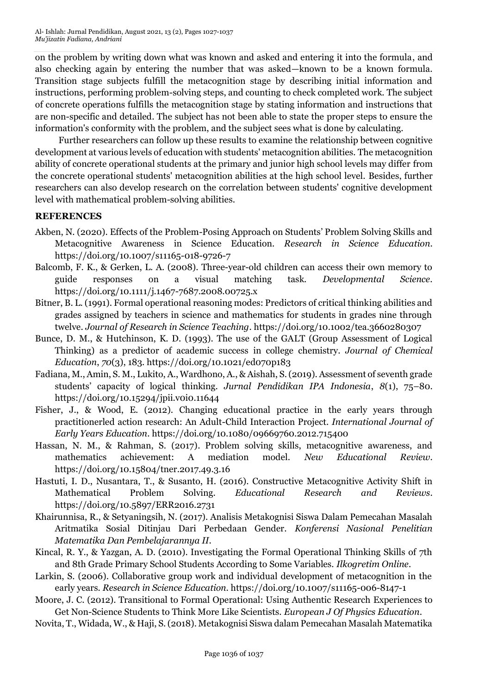on the problem by writing down what was known and asked and entering it into the formula, and also checking again by entering the number that was asked—known to be a known formula. Transition stage subjects fulfill the metacognition stage by describing initial information and instructions, performing problem-solving steps, and counting to check completed work. The subject of concrete operations fulfills the metacognition stage by stating information and instructions that are non-specific and detailed. The subject has not been able to state the proper steps to ensure the information's conformity with the problem, and the subject sees what is done by calculating.

Further researchers can follow up these results to examine the relationship between cognitive development at various levels of education with students' metacognition abilities. The metacognition ability of concrete operational students at the primary and junior high school levels may differ from the concrete operational students' metacognition abilities at the high school level. Besides, further researchers can also develop research on the correlation between students' cognitive development level with mathematical problem-solving abilities.

#### **REFERENCES**

- Akben, N. (2020). Effects of the Problem-Posing Approach on Students' Problem Solving Skills and Metacognitive Awareness in Science Education. *Research in Science Education*. https://doi.org/10.1007/s11165-018-9726-7
- Balcomb, F. K., & Gerken, L. A. (2008). Three-year-old children can access their own memory to guide responses on a visual matching task. *Developmental Science*. https://doi.org/10.1111/j.1467-7687.2008.00725.x
- Bitner, B. L. (1991). Formal operational reasoning modes: Predictors of critical thinking abilities and grades assigned by teachers in science and mathematics for students in grades nine through twelve. *Journal of Research in Science Teaching*. https://doi.org/10.1002/tea.3660280307
- Bunce, D. M., & Hutchinson, K. D. (1993). The use of the GALT (Group Assessment of Logical Thinking) as a predictor of academic success in college chemistry. *Journal of Chemical Education*, *70*(3), 183. https://doi.org/10.1021/ed070p183
- Fadiana, M., Amin, S. M., Lukito, A., Wardhono, A., & Aishah, S. (2019). Assessment of seventh grade students' capacity of logical thinking. *Jurnal Pendidikan IPA Indonesia*, *8*(1), 75–80. https://doi.org/10.15294/jpii.v0i0.11644
- Fisher, J., & Wood, E. (2012). Changing educational practice in the early years through practitionerled action research: An Adult-Child Interaction Project. *International Journal of Early Years Education*. https://doi.org/10.1080/09669760.2012.715400
- Hassan, N. M., & Rahman, S. (2017). Problem solving skills, metacognitive awareness, and mathematics achievement: A mediation model. *New Educational Review*. https://doi.org/10.15804/tner.2017.49.3.16
- Hastuti, I. D., Nusantara, T., & Susanto, H. (2016). Constructive Metacognitive Activity Shift in Mathematical Problem Solving. *Educational Research and Reviews*. https://doi.org/10.5897/ERR2016.2731
- Khairunnisa, R., & Setyaningsih, N. (2017). Analisis Metakognisi Siswa Dalam Pemecahan Masalah Aritmatika Sosial Ditinjau Dari Perbedaan Gender. *Konferensi Nasional Penelitian Matematika Dan Pembelajarannya II*.
- Kincal, R. Y., & Yazgan, A. D. (2010). Investigating the Formal Operational Thinking Skills of 7th and 8th Grade Primary School Students According to Some Variables. *Ilkogretim Online*.
- Larkin, S. (2006). Collaborative group work and individual development of metacognition in the early years. *Research in Science Education*. https://doi.org/10.1007/s11165-006-8147-1
- Moore, J. C. (2012). Transitional to Formal Operational: Using Authentic Research Experiences to Get Non-Science Students to Think More Like Scientists. *European J Of Physics Education*.
- Novita, T., Widada, W., & Haji, S. (2018). Metakognisi Siswa dalam Pemecahan Masalah Matematika